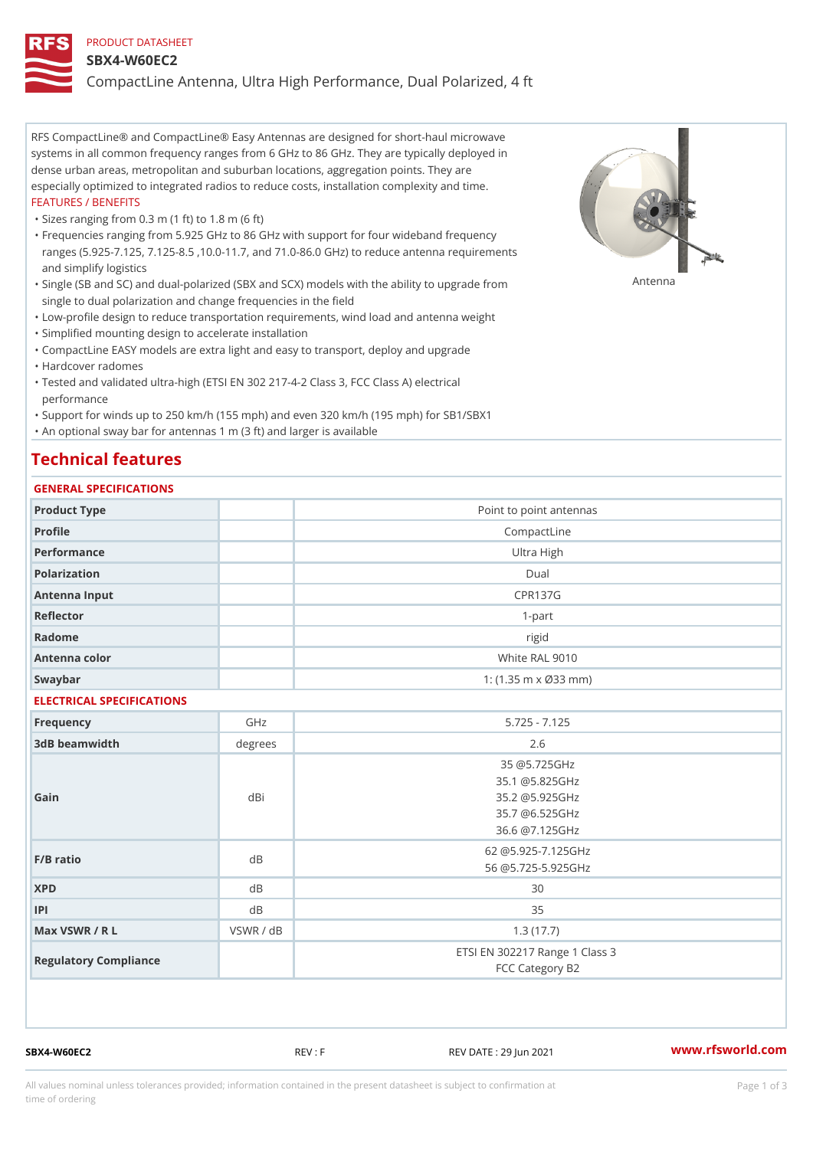### PRODUCT DATASHEET

#### SBX4-W60EC2

CompactLine Antenna, Ultra High Performance, Dual Polarized, 4 ft

RFS CompactLine® and CompactLine® Easy Antennas are designed for short-haul microwave systems in all common frequency ranges from 6 GHz to 86 GHz. They are typically deployed in dense urban areas, metropolitan and suburban locations, aggregation points. They are especially optimized to integrated radios to reduce costs, installation complexity and time. FEATURES / BENEFITS

"Sizes ranging from 0.3 m (1 ft) to 1.8 m (6 ft)

Frequencies ranging from 5.925 GHz to 86 GHz with support for four wideband frequency " ranges (5.925-7.125, 7.125-8.5 ,10.0-11.7, and 71.0-86.0 GHz) to reduce antenna requirements and simplify logistics

"Single (SB and SC) and dual-polarized (SBX and SCX) models with the abili $\mathsf{f} \gamma^{\mathsf{n}} \mathsf{t} \mathsf{B}^{\mathsf{n}} \mathsf{u} \mathsf{p} \mathsf{B}$ grade from single to dual polarization and change frequencies in the field

"Low-profile design to reduce transportation requirements, wind load and antenna weight

"Simplified mounting design to accelerate installation

 "CompactLine EASY models are extra light and easy to transport, deploy and upgrade "Hardcover radomes

Tested and validated ultra-high (ETSI EN 302 217-4-2 Class 3, FCC Class A) electrical " performance

 "Support for winds up to 250 km/h (155 mph) and even 320 km/h (195 mph) for SB1/SBX1 "An optional sway bar for antennas 1 m (3 ft) and larger is available

# Technical features

# GENERAL SPECIFICATIONS

| GENERAL SELGIFICATIONS    |           |                                                                                          |
|---------------------------|-----------|------------------------------------------------------------------------------------------|
| Product Type              |           | Point to point antennas                                                                  |
| Profile                   |           | CompactLine                                                                              |
| Performance               |           | Ultra High                                                                               |
| Polarization              |           | $D$ ual                                                                                  |
| Antenna Input             |           | <b>CPR137G</b>                                                                           |
| Reflector                 |           | $1 - p$ art                                                                              |
| Radome                    |           | rigid                                                                                    |
| Antenna color             |           | White RAL 9010                                                                           |
| Swaybar                   |           | 1: $(1.35 m \times 033 m)$                                                               |
| ELECTRICAL SPECIFICATIONS |           |                                                                                          |
| Frequency                 | GHz       | $5.725 - 7.125$                                                                          |
| 3dB beamwidth             | degree:   | 2.6                                                                                      |
| Gain                      | $dB$ i    | 35 @5.725GHz<br>35.1 @ 5.825 G H z<br>35.2 @5.925GHz<br>35.7 @6.525GHz<br>36.6 @7.125GHz |
| $F/B$ ratio               | $d$ B     | 62 @5.925-7.125GHz<br>56 @5.725-5.925GHz                                                 |
| <b>XPD</b>                | $d$ B     | 30                                                                                       |
| P                         | $d$ B     | 35                                                                                       |
| Max VSWR / R L            | VSWR / dB | 1.3(17.7)                                                                                |
| Regulatory Compliance     |           | ETSI EN 302217 Range 1 Class 3<br>FCC Category B2                                        |

SBX4-W60EC2 REV : F REV DATE : 29 Jun 2021 WWW.rfsworld.com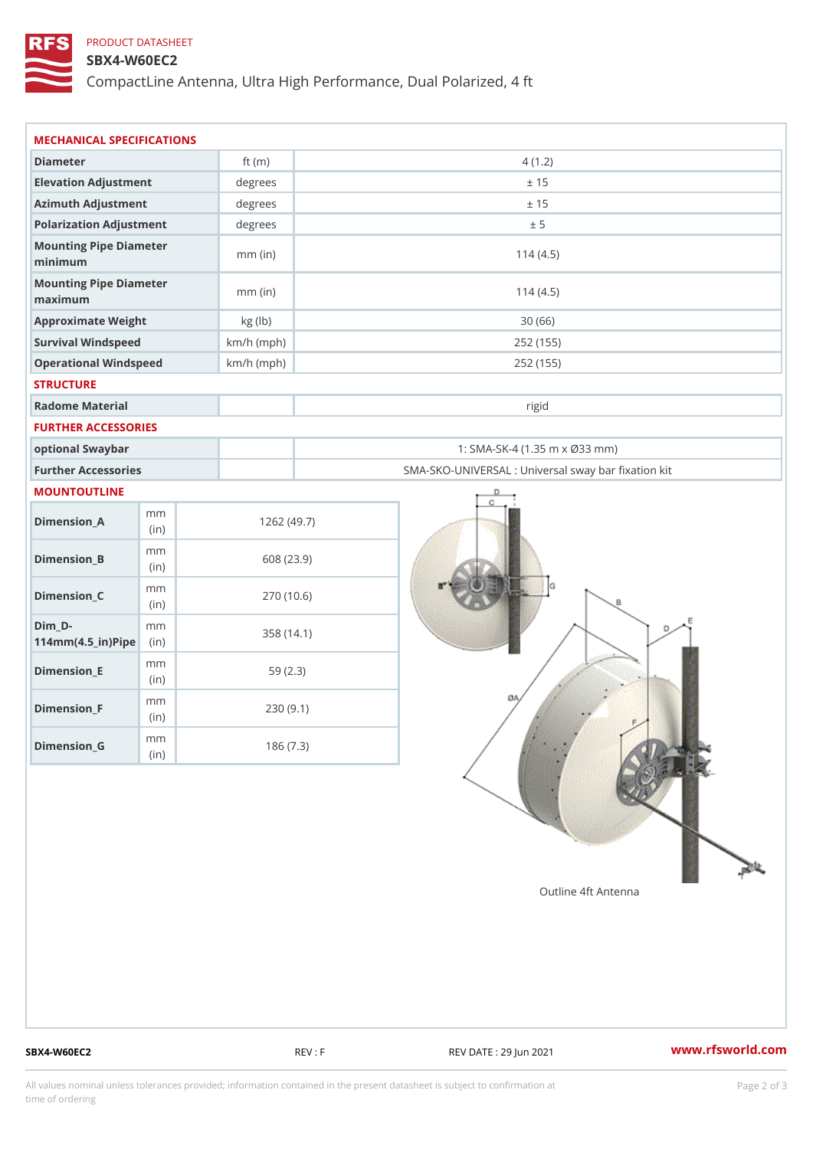# PRODUCT DATASHEET

# SBX4-W60EC2

CompactLine Antenna, Ultra High Performance, Dual Polarized, 4 ft

| MECHANICAL SPECIFICATIONS                           |              |              |                                                   |
|-----------------------------------------------------|--------------|--------------|---------------------------------------------------|
| Diameter                                            |              | ft $(m)$     | 4(1.2)                                            |
| Elevation Adjustment                                |              | degrees      | ± 15                                              |
| Azimuth Adjustment                                  |              | degrees      | ± 15                                              |
| Polarization Adjustment                             |              | degrees      | ± 5                                               |
| Mounting Pipe Diameter<br>minimum                   |              | $mm$ (in)    | 114(4.5)                                          |
| Mounting Pipe Diameter<br>maximum                   |              | $mm$ (in)    | 114(4.5)                                          |
| Approximate Weight                                  |              | kg (lb)      | 30(66)                                            |
| Survival Windspeed                                  |              | $km/h$ (mph) | 252 (155)                                         |
| Operational Windspeed                               |              | $km/h$ (mph) | 252 (155)                                         |
| <b>STRUCTURE</b>                                    |              |              |                                                   |
| Radome Material                                     |              |              | rigid                                             |
| FURTHER ACCESSORIES                                 |              |              |                                                   |
| optional Swaybar                                    |              |              | 1: SMA-SK-4 (1.35 m x Ø33 mm)                     |
| Further Accessories                                 |              |              | SMA-SKO-UNIVERSAL : Universal sway bar fixation l |
| MOUNTOUTLINE                                        |              |              |                                                   |
| $Dimension_A$                                       | m m<br>(in)  |              | 1262(49.7)                                        |
| $Dimension_B$                                       | m m<br>(i n) |              | 608 (23.9)                                        |
| $Dimension_C$                                       | m m<br>(i n) |              | 270 (10.6)                                        |
| $Dim_D -$<br>$114$ m m $(4.5$ _ ir $)$ $R$ ii p $e$ | m m          |              | 358 (14.1)                                        |
| $Dimension$ = E                                     | m m<br>(in)  |              | 59(2.3)                                           |
| $Dimension_F$                                       | m m<br>(in)  |              | 230(9.1)                                          |
| $Dimension_G$                                       | m m<br>(in)  |              | 186(7.3)                                          |

SBX4-W60EC2 REV : F REV EXECUTE : 29 Jun 2021 WWW.rfsworld.com